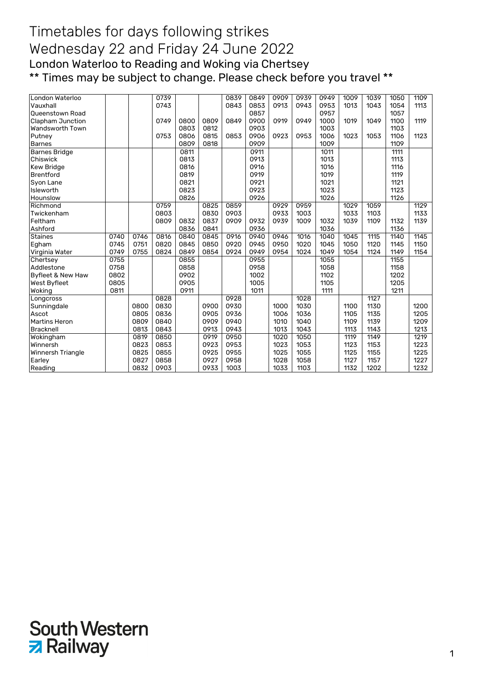| London Waterloo              |      |      | 0739 |      |      | 0839 | 0849 | 0909 | 0939 | 0949 | 1009 | 1039 | 1050 | 1109 |
|------------------------------|------|------|------|------|------|------|------|------|------|------|------|------|------|------|
| Vauxhall                     |      |      | 0743 |      |      | 0843 | 0853 | 0913 | 0943 | 0953 | 1013 | 1043 | 1054 | 1113 |
| Queenstown Road              |      |      |      |      |      |      | 0857 |      |      | 0957 |      |      | 1057 |      |
| <b>Clapham Junction</b>      |      |      | 0749 | 0800 | 0809 | 0849 | 0900 | 0919 | 0949 | 1000 | 1019 | 1049 | 1100 | 1119 |
| Wandsworth Town              |      |      |      | 0803 | 0812 |      | 0903 |      |      | 1003 |      |      | 1103 |      |
| Putney                       |      |      | 0753 | 0806 | 0815 | 0853 | 0906 | 0923 | 0953 | 1006 | 1023 | 1053 | 1106 | 1123 |
| <b>Barnes</b>                |      |      |      | 0809 | 0818 |      | 0909 |      |      | 1009 |      |      | 1109 |      |
| <b>Barnes Bridge</b>         |      |      |      | 0811 |      |      | 0911 |      |      | 1011 |      |      | 1111 |      |
| Chiswick                     |      |      |      | 0813 |      |      | 0913 |      |      | 1013 |      |      | 1113 |      |
| <b>Kew Bridge</b>            |      |      |      | 0816 |      |      | 0916 |      |      | 1016 |      |      | 1116 |      |
| <b>Brentford</b>             |      |      |      | 0819 |      |      | 0919 |      |      | 1019 |      |      | 1119 |      |
| Syon Lane                    |      |      |      | 0821 |      |      | 0921 |      |      | 1021 |      |      | 1121 |      |
| Isleworth                    |      |      |      | 0823 |      |      | 0923 |      |      | 1023 |      |      | 1123 |      |
| Hounslow                     |      |      |      | 0826 |      |      | 0926 |      |      | 1026 |      |      | 1126 |      |
| Richmond                     |      |      | 0759 |      | 0825 | 0859 |      | 0929 | 0959 |      | 1029 | 1059 |      | 1129 |
| Twickenham                   |      |      | 0803 |      | 0830 | 0903 |      | 0933 | 1003 |      | 1033 | 1103 |      | 1133 |
| Feltham                      |      |      | 0809 | 0832 | 0837 | 0909 | 0932 | 0939 | 1009 | 1032 | 1039 | 1109 | 1132 | 1139 |
| Ashford                      |      |      |      | 0836 | 0841 |      | 0936 |      |      | 1036 |      |      | 1136 |      |
| <b>Staines</b>               | 0740 | 0746 | 0816 | 0840 | 0845 | 0916 | 0940 | 0946 | 1016 | 1040 | 1045 | 1115 | 1140 | 1145 |
| Egham                        | 0745 | 0751 | 0820 | 0845 | 0850 | 0920 | 0945 | 0950 | 1020 | 1045 | 1050 | 1120 | 1145 | 1150 |
| Virginia Water               | 0749 | 0755 | 0824 | 0849 | 0854 | 0924 | 0949 | 0954 | 1024 | 1049 | 1054 | 1124 | 1149 | 1154 |
| Chertsey                     | 0755 |      |      | 0855 |      |      | 0955 |      |      | 1055 |      |      | 1155 |      |
| Addlestone                   | 0758 |      |      | 0858 |      |      | 0958 |      |      | 1058 |      |      | 1158 |      |
| <b>Byfleet &amp; New Haw</b> | 0802 |      |      | 0902 |      |      | 1002 |      |      | 1102 |      |      | 1202 |      |
| West Byfleet                 | 0805 |      |      | 0905 |      |      | 1005 |      |      | 1105 |      |      | 1205 |      |
| Woking                       | 0811 |      |      | 0911 |      |      | 1011 |      |      | 1111 |      |      | 1211 |      |
| Longcross                    |      |      | 0828 |      |      | 0928 |      |      | 1028 |      |      | 1127 |      |      |
| Sunningdale                  |      | 0800 | 0830 |      | 0900 | 0930 |      | 1000 | 1030 |      | 1100 | 1130 |      | 1200 |
| Ascot                        |      | 0805 | 0836 |      | 0905 | 0936 |      | 1006 | 1036 |      | 1105 | 1135 |      | 1205 |
| Martins Heron                |      | 0809 | 0840 |      | 0909 | 0940 |      | 1010 | 1040 |      | 1109 | 1139 |      | 1209 |
| Bracknell                    |      | 0813 | 0843 |      | 0913 | 0943 |      | 1013 | 1043 |      | 1113 | 1143 |      | 1213 |
| Wokingham                    |      | 0819 | 0850 |      | 0919 | 0950 |      | 1020 | 1050 |      | 1119 | 1149 |      | 1219 |
| Winnersh                     |      | 0823 | 0853 |      | 0923 | 0953 |      | 1023 | 1053 |      | 1123 | 1153 |      | 1223 |
| Winnersh Triangle            |      | 0825 | 0855 |      | 0925 | 0955 |      | 1025 | 1055 |      | 1125 | 1155 |      | 1225 |
| Earley                       |      | 0827 | 0858 |      | 0927 | 0958 |      | 1028 | 1058 |      | 1127 | 1157 |      | 1227 |
| Reading                      |      | 0832 | 0903 |      | 0933 | 1003 |      | 1033 | 1103 |      | 1132 | 1202 |      | 1232 |

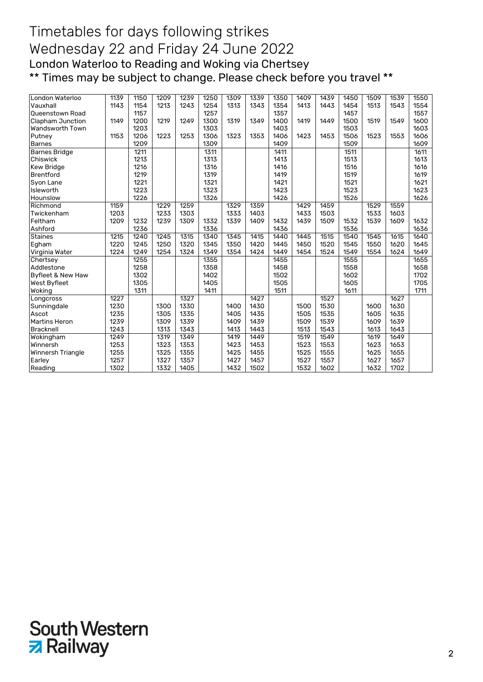| London Waterloo              | 1139 | 1150 | 1209 | 1239 | 1250 | 1309 | 1339 | 1350 | 1409 | 1439 | 1450 | 1509 | 1539 | 1550 |
|------------------------------|------|------|------|------|------|------|------|------|------|------|------|------|------|------|
| Vauxhall                     | 1143 | 1154 | 1213 | 1243 | 1254 | 1313 | 1343 | 1354 | 1413 | 1443 | 1454 | 1513 | 1543 | 1554 |
| <b>Queenstown Road</b>       |      | 1157 |      |      | 1257 |      |      | 1357 |      |      | 1457 |      |      | 1557 |
| Clapham Junction             | 1149 | 1200 | 1219 | 1249 | 1300 | 1319 | 1349 | 1400 | 1419 | 1449 | 1500 | 1519 | 1549 | 1600 |
| Wandsworth Town              |      | 1203 |      |      | 1303 |      |      | 1403 |      |      | 1503 |      |      | 1603 |
| Putney                       | 1153 | 1206 | 1223 | 1253 | 1306 | 1323 | 1353 | 1406 | 1423 | 1453 | 1506 | 1523 | 1553 | 1606 |
| <b>Barnes</b>                |      | 1209 |      |      | 1309 |      |      | 1409 |      |      | 1509 |      |      | 1609 |
| <b>Barnes Bridge</b>         |      | 1211 |      |      | 1311 |      |      | 1411 |      |      | 1511 |      |      | 1611 |
| Chiswick                     |      | 1213 |      |      | 1313 |      |      | 1413 |      |      | 1513 |      |      | 1613 |
| <b>Kew Bridge</b>            |      | 1216 |      |      | 1316 |      |      | 1416 |      |      | 1516 |      |      | 1616 |
| <b>Brentford</b>             |      | 1219 |      |      | 1319 |      |      | 1419 |      |      | 1519 |      |      | 1619 |
| Syon Lane                    |      | 1221 |      |      | 1321 |      |      | 1421 |      |      | 1521 |      |      | 1621 |
| Isleworth                    |      | 1223 |      |      | 1323 |      |      | 1423 |      |      | 1523 |      |      | 1623 |
| Hounslow                     |      | 1226 |      |      | 1326 |      |      | 1426 |      |      | 1526 |      |      | 1626 |
| Richmond                     | 1159 |      | 1229 | 1259 |      | 1329 | 1359 |      | 1429 | 1459 |      | 1529 | 1559 |      |
| Twickenham                   | 1203 |      | 1233 | 1303 |      | 1333 | 1403 |      | 1433 | 1503 |      | 1533 | 1603 |      |
| Feltham                      | 1209 | 1232 | 1239 | 1309 | 1332 | 1339 | 1409 | 1432 | 1439 | 1509 | 1532 | 1539 | 1609 | 1632 |
| Ashford                      |      | 1236 |      |      | 1336 |      |      | 1436 |      |      | 1536 |      |      | 1636 |
| <b>Staines</b>               | 1215 | 1240 | 1245 | 1315 | 1340 | 1345 | 1415 | 1440 | 1445 | 1515 | 1540 | 1545 | 1615 | 1640 |
| Egham                        | 1220 | 1245 | 1250 | 1320 | 1345 | 1350 | 1420 | 1445 | 1450 | 1520 | 1545 | 1550 | 1620 | 1645 |
| Virginia Water               | 1224 | 1249 | 1254 | 1324 | 1349 | 1354 | 1424 | 1449 | 1454 | 1524 | 1549 | 1554 | 1624 | 1649 |
| Chertsey                     |      | 1255 |      |      | 1355 |      |      | 1455 |      |      | 1555 |      |      | 1655 |
| Addlestone                   |      | 1258 |      |      | 1358 |      |      | 1458 |      |      | 1558 |      |      | 1658 |
| <b>Byfleet &amp; New Haw</b> |      | 1302 |      |      | 1402 |      |      | 1502 |      |      | 1602 |      |      | 1702 |
| West Byfleet                 |      | 1305 |      |      | 1405 |      |      | 1505 |      |      | 1605 |      |      | 1705 |
| Woking                       |      | 1311 |      |      | 1411 |      |      | 1511 |      |      | 1611 |      |      | 1711 |
| Longcross                    | 1227 |      |      | 1327 |      |      | 1427 |      |      | 1527 |      |      | 1627 |      |
| Sunningdale                  | 1230 |      | 1300 | 1330 |      | 1400 | 1430 |      | 1500 | 1530 |      | 1600 | 1630 |      |
| Ascot                        | 1235 |      | 1305 | 1335 |      | 1405 | 1435 |      | 1505 | 1535 |      | 1605 | 1635 |      |
| Martins Heron                | 1239 |      | 1309 | 1339 |      | 1409 | 1439 |      | 1509 | 1539 |      | 1609 | 1639 |      |
| <b>Bracknell</b>             | 1243 |      | 1313 | 1343 |      | 1413 | 1443 |      | 1513 | 1543 |      | 1613 | 1643 |      |
| Wokingham                    | 1249 |      | 1319 | 1349 |      | 1419 | 1449 |      | 1519 | 1549 |      | 1619 | 1649 |      |
| Winnersh                     | 1253 |      | 1323 | 1353 |      | 1423 | 1453 |      | 1523 | 1553 |      | 1623 | 1653 |      |
| Winnersh Triangle            | 1255 |      | 1325 | 1355 |      | 1425 | 1455 |      | 1525 | 1555 |      | 1625 | 1655 |      |
| Earley                       | 1257 |      | 1327 | 1357 |      | 1427 | 1457 |      | 1527 | 1557 |      | 1627 | 1657 |      |
| Reading                      | 1302 |      | 1332 | 1405 |      | 1432 | 1502 |      | 1532 | 1602 |      | 1632 | 1702 |      |
|                              |      |      |      |      |      |      |      |      |      |      |      |      |      |      |

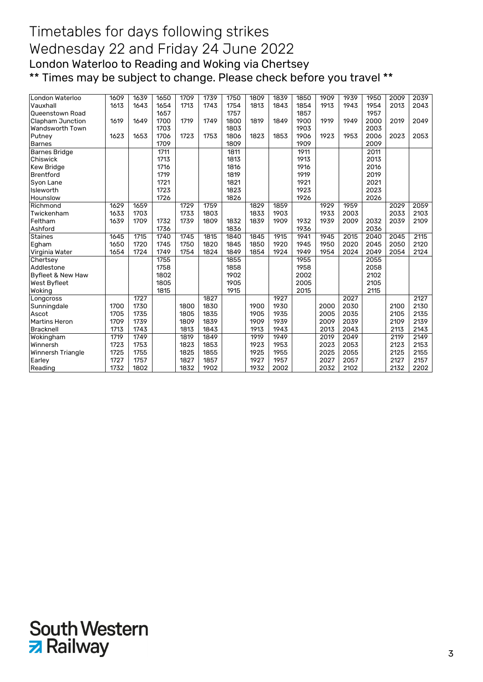| London Waterloo<br>Vauxhall | 1609<br>1613 | 1639<br>1643 | 1650<br>1654 | 1709<br>1713 | 1739<br>1743 | 1750 | 1809<br>1813 | 1839<br>1843 | 1850<br>1854 | 1909<br>1913 | 1939<br>1943 | 1950<br>1954 | 2009<br>2013 | 2039<br>2043 |
|-----------------------------|--------------|--------------|--------------|--------------|--------------|------|--------------|--------------|--------------|--------------|--------------|--------------|--------------|--------------|
|                             |              |              |              |              |              | 1754 |              |              |              |              |              |              |              |              |
| <b>Queenstown Road</b>      |              |              | 1657         |              |              | 1757 |              |              | 1857         |              |              | 1957         |              |              |
| Clapham Junction            | 1619         | 1649         | 1700         | 1719         | 1749         | 1800 | 1819         | 1849         | 1900         | 1919         | 1949         | 2000         | 2019         | 2049         |
| Wandsworth Town             |              |              | 1703         |              |              | 1803 |              |              | 1903         |              |              | 2003         |              |              |
| Putney                      | 1623         | 1653         | 1706         | 1723         | 1753         | 1806 | 1823         | 1853         | 1906         | 1923         | 1953         | 2006         | 2023         | 2053         |
| <b>Barnes</b>               |              |              | 1709         |              |              | 1809 |              |              | 1909         |              |              | 2009         |              |              |
| <b>Barnes Bridge</b>        |              |              | 1711         |              |              | 1811 |              |              | 1911         |              |              | 2011         |              |              |
| Chiswick                    |              |              | 1713         |              |              | 1813 |              |              | 1913         |              |              | 2013         |              |              |
| <b>Kew Bridge</b>           |              |              | 1716         |              |              | 1816 |              |              | 1916         |              |              | 2016         |              |              |
| <b>Brentford</b>            |              |              | 1719         |              |              | 1819 |              |              | 1919         |              |              | 2019         |              |              |
| Syon Lane                   |              |              | 1721         |              |              | 1821 |              |              | 1921         |              |              | 2021         |              |              |
| Isleworth                   |              |              | 1723         |              |              | 1823 |              |              | 1923         |              |              | 2023         |              |              |
| Hounslow                    |              |              | 1726         |              |              | 1826 |              |              | 1926         |              |              | 2026         |              |              |
| Richmond                    | 1629         | 1659         |              | 1729         | 1759         |      | 1829         | 1859         |              | 1929         | 1959         |              | 2029         | 2059         |
| Twickenham                  | 1633         | 1703         |              | 1733         | 1803         |      | 1833         | 1903         |              | 1933         | 2003         |              | 2033         | 2103         |
| Feltham                     | 1639         | 1709         | 1732         | 1739         | 1809         | 1832 | 1839         | 1909         | 1932         | 1939         | 2009         | 2032         | 2039         | 2109         |
| Ashford                     |              |              | 1736         |              |              | 1836 |              |              | 1936         |              |              | 2036         |              |              |
| <b>Staines</b>              | 1645         | 1715         | 1740         | 1745         | 1815         | 1840 | 1845         | 1915         | 1941         | 1945         | 2015         | 2040         | 2045         | 2115         |
| Egham                       | 1650         | 1720         | 1745         | 1750         | 1820         | 1845 | 1850         | 1920         | 1945         | 1950         | 2020         | 2045         | 2050         | 2120         |
| Virginia Water              | 1654         | 1724         | 1749         | 1754         | 1824         | 1849 | 1854         | 1924         | 1949         | 1954         | 2024         | 2049         | 2054         | 2124         |
| Chertsey                    |              |              | 1755         |              |              | 1855 |              |              | 1955         |              |              | 2055         |              |              |
| Addlestone                  |              |              | 1758         |              |              | 1858 |              |              | 1958         |              |              | 2058         |              |              |
| Byfleet & New Haw           |              |              | 1802         |              |              | 1902 |              |              | 2002         |              |              | 2102         |              |              |
| West Byfleet                |              |              | 1805         |              |              | 1905 |              |              | 2005         |              |              | 2105         |              |              |
| Woking                      |              |              | 1815         |              |              | 1915 |              |              | 2015         |              |              | 2115         |              |              |
| Longcross                   |              | 1727         |              |              | 1827         |      |              | 1927         |              |              | 2027         |              |              | 2127         |
| Sunningdale                 | 1700         | 1730         |              | 1800         | 1830         |      | 1900         | 1930         |              | 2000         | 2030         |              | 2100         | 2130         |
| Ascot                       | 1705         | 1735         |              | 1805         | 1835         |      | 1905         | 1935         |              | 2005         | 2035         |              | 2105         | 2135         |
| <b>Martins Heron</b>        | 1709         | 1739         |              | 1809         | 1839         |      | 1909         | 1939         |              | 2009         | 2039         |              | 2109         | 2139         |
| Bracknell                   | 1713         | 1743         |              | 1813         | 1843         |      | 1913         | 1943         |              | 2013         | 2043         |              | 2113         | 2143         |
| Wokingham                   | 1719         | 1749         |              | 1819         | 1849         |      | 1919         | 1949         |              | 2019         | 2049         |              | 2119         | 2149         |
| Winnersh                    | 1723         | 1753         |              | 1823         | 1853         |      | 1923         | 1953         |              | 2023         | 2053         |              | 2123         | 2153         |
| Winnersh Triangle           | 1725         | 1755         |              | 1825         | 1855         |      | 1925         | 1955         |              | 2025         | 2055         |              | 2125         | 2155         |
| Earley                      | 1727         | 1757         |              | 1827         | 1857         |      | 1927         | 1957         |              | 2027         | 2057         |              | 2127         | 2157         |
| Reading                     | 1732         | 1802         |              | 1832         | 1902         |      | 1932         | 2002         |              | 2032         | 2102         |              | 2132         | 2202         |

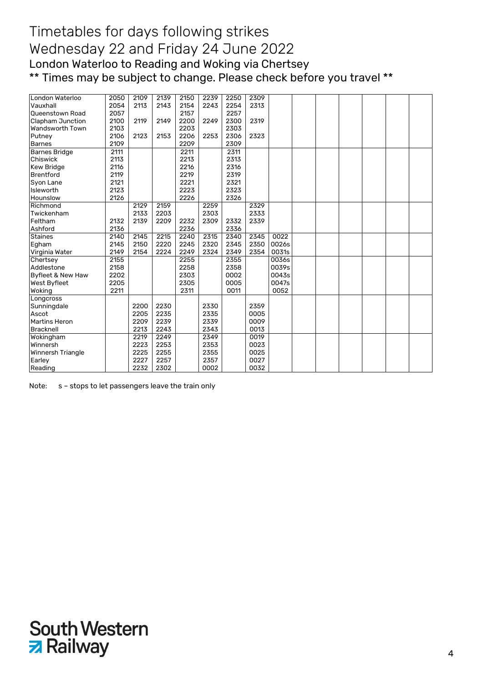| London Waterloo        | 2050 | 2109 | 2139 | 2150 | 2239 | 2250 | 2309 |       |  |  |  |
|------------------------|------|------|------|------|------|------|------|-------|--|--|--|
| Vauxhall               | 2054 | 2113 | 2143 | 2154 | 2243 | 2254 | 2313 |       |  |  |  |
| <b>Queenstown Road</b> | 2057 |      |      | 2157 |      | 2257 |      |       |  |  |  |
| Clapham Junction       | 2100 | 2119 | 2149 | 2200 | 2249 | 2300 | 2319 |       |  |  |  |
| Wandsworth Town        | 2103 |      |      | 2203 |      | 2303 |      |       |  |  |  |
| Putney                 | 2106 | 2123 | 2153 | 2206 | 2253 | 2306 | 2323 |       |  |  |  |
| <b>Barnes</b>          | 2109 |      |      | 2209 |      | 2309 |      |       |  |  |  |
| <b>Barnes Bridge</b>   | 2111 |      |      | 2211 |      | 2311 |      |       |  |  |  |
| Chiswick               | 2113 |      |      | 2213 |      | 2313 |      |       |  |  |  |
| <b>Kew Bridge</b>      | 2116 |      |      | 2216 |      | 2316 |      |       |  |  |  |
| Brentford              | 2119 |      |      | 2219 |      | 2319 |      |       |  |  |  |
| Syon Lane              | 2121 |      |      | 2221 |      | 2321 |      |       |  |  |  |
| Isleworth              | 2123 |      |      | 2223 |      | 2323 |      |       |  |  |  |
| Hounslow               | 2126 |      |      | 2226 |      | 2326 |      |       |  |  |  |
| Richmond               |      | 2129 | 2159 |      | 2259 |      | 2329 |       |  |  |  |
| Twickenham             |      | 2133 | 2203 |      | 2303 |      | 2333 |       |  |  |  |
| Feltham                | 2132 | 2139 | 2209 | 2232 | 2309 | 2332 | 2339 |       |  |  |  |
| Ashford                | 2136 |      |      | 2236 |      | 2336 |      |       |  |  |  |
| <b>Staines</b>         | 2140 | 2145 | 2215 | 2240 | 2315 | 2340 | 2345 | 0022  |  |  |  |
| Egham                  | 2145 | 2150 | 2220 | 2245 | 2320 | 2345 | 2350 | 0026s |  |  |  |
| Virginia Water         | 2149 | 2154 | 2224 | 2249 | 2324 | 2349 | 2354 | 0031s |  |  |  |
| Chertsey               | 2155 |      |      | 2255 |      | 2355 |      | 0036s |  |  |  |
| Addlestone             | 2158 |      |      | 2258 |      | 2358 |      | 0039s |  |  |  |
| Byfleet & New Haw      | 2202 |      |      | 2303 |      | 0002 |      | 0043s |  |  |  |
| West Byfleet           | 2205 |      |      | 2305 |      | 0005 |      | 0047s |  |  |  |
| Woking                 | 2211 |      |      | 2311 |      | 0011 |      | 0052  |  |  |  |
| Longcross              |      |      |      |      |      |      |      |       |  |  |  |
| Sunningdale            |      | 2200 | 2230 |      | 2330 |      | 2359 |       |  |  |  |
| Ascot                  |      | 2205 | 2235 |      | 2335 |      | 0005 |       |  |  |  |
| <b>Martins Heron</b>   |      | 2209 | 2239 |      | 2339 |      | 0009 |       |  |  |  |
| Bracknell              |      | 2213 | 2243 |      | 2343 |      | 0013 |       |  |  |  |
| Wokingham              |      | 2219 | 2249 |      | 2349 |      | 0019 |       |  |  |  |
| Winnersh               |      | 2223 | 2253 |      | 2353 |      | 0023 |       |  |  |  |
| Winnersh Triangle      |      | 2225 | 2255 |      | 2355 |      | 0025 |       |  |  |  |
| Earley                 |      | 2227 | 2257 |      | 2357 |      | 0027 |       |  |  |  |
| Reading                |      | 2232 | 2302 |      | 0002 |      | 0032 |       |  |  |  |

Note: s - stops to let passengers leave the train only

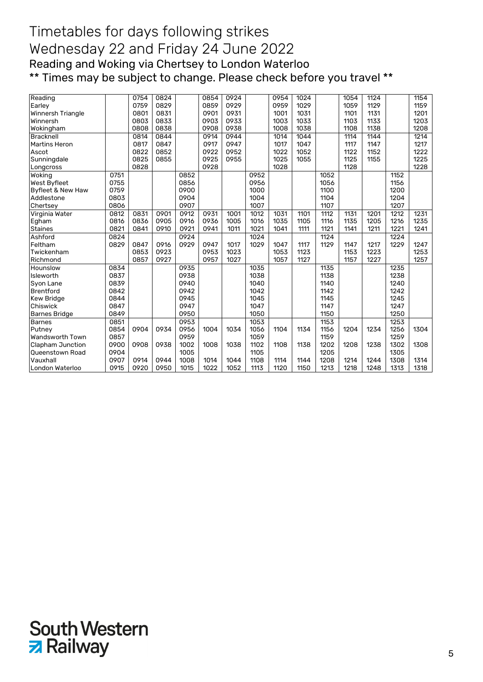| Reading                 |      | 0754 | 0824 |      | 0854 | 0924 |      | 0954 | 1024 |      | 1054 | 1124 |      | 1154 |
|-------------------------|------|------|------|------|------|------|------|------|------|------|------|------|------|------|
| Earley                  |      | 0759 | 0829 |      | 0859 | 0929 |      | 0959 | 1029 |      | 1059 | 1129 |      | 1159 |
| Winnersh Triangle       |      | 0801 | 0831 |      | 0901 | 0931 |      | 1001 | 1031 |      | 1101 | 1131 |      | 1201 |
| Winnersh                |      | 0803 | 0833 |      | 0903 | 0933 |      | 1003 | 1033 |      | 1103 | 1133 |      | 1203 |
| Wokingham               |      | 0808 | 0838 |      | 0908 | 0938 |      | 1008 | 1038 |      | 1108 | 1138 |      | 1208 |
| Bracknell               |      | 0814 | 0844 |      | 0914 | 0944 |      | 1014 | 1044 |      | 1114 | 1144 |      | 1214 |
| Martins Heron           |      | 0817 | 0847 |      | 0917 | 0947 |      | 1017 | 1047 |      | 1117 | 1147 |      | 1217 |
| Ascot                   |      | 0822 | 0852 |      | 0922 | 0952 |      | 1022 | 1052 |      | 1122 | 1152 |      | 1222 |
| Sunningdale             |      | 0825 | 0855 |      | 0925 | 0955 |      | 1025 | 1055 |      | 1125 | 1155 |      | 1225 |
| Longcross               |      | 0828 |      |      | 0928 |      |      | 1028 |      |      | 1128 |      |      | 1228 |
| Woking                  | 0751 |      |      | 0852 |      |      | 0952 |      |      | 1052 |      |      | 1152 |      |
| West Byfleet            | 0755 |      |      | 0856 |      |      | 0956 |      |      | 1056 |      |      | 1156 |      |
| Byfleet & New Haw       | 0759 |      |      | 0900 |      |      | 1000 |      |      | 1100 |      |      | 1200 |      |
| Addlestone              | 0803 |      |      | 0904 |      |      | 1004 |      |      | 1104 |      |      | 1204 |      |
| Chertsey                | 0806 |      |      | 0907 |      |      | 1007 |      |      | 1107 |      |      | 1207 |      |
| Virginia Water          | 0812 | 0831 | 0901 | 0912 | 0931 | 1001 | 1012 | 1031 | 1101 | 1112 | 1131 | 1201 | 1212 | 1231 |
| Egham                   | 0816 | 0836 | 0905 | 0916 | 0936 | 1005 | 1016 | 1035 | 1105 | 1116 | 1135 | 1205 | 1216 | 1235 |
| Staines                 | 0821 | 0841 | 0910 | 0921 | 0941 | 1011 | 1021 | 1041 | 1111 | 1121 | 1141 | 1211 | 1221 | 1241 |
| Ashford                 | 0824 |      |      | 0924 |      |      | 1024 |      |      | 1124 |      |      | 1224 |      |
| Feltham                 | 0829 | 0847 | 0916 | 0929 | 0947 | 1017 | 1029 | 1047 | 1117 | 1129 | 1147 | 1217 | 1229 | 1247 |
| Twickenham              |      | 0853 | 0923 |      | 0953 | 1023 |      | 1053 | 1123 |      | 1153 | 1223 |      | 1253 |
| Richmond                |      | 0857 | 0927 |      | 0957 | 1027 |      | 1057 | 1127 |      | 1157 | 1227 |      | 1257 |
| Hounslow                | 0834 |      |      | 0935 |      |      | 1035 |      |      | 1135 |      |      | 1235 |      |
| Isleworth               | 0837 |      |      | 0938 |      |      | 1038 |      |      | 1138 |      |      | 1238 |      |
| Syon Lane               | 0839 |      |      | 0940 |      |      | 1040 |      |      | 1140 |      |      | 1240 |      |
| <b>Brentford</b>        | 0842 |      |      | 0942 |      |      | 1042 |      |      | 1142 |      |      | 1242 |      |
| Kew Bridge              | 0844 |      |      | 0945 |      |      | 1045 |      |      | 1145 |      |      | 1245 |      |
| Chiswick                | 0847 |      |      | 0947 |      |      | 1047 |      |      | 1147 |      |      | 1247 |      |
| <b>Barnes Bridge</b>    | 0849 |      |      | 0950 |      |      | 1050 |      |      | 1150 |      |      | 1250 |      |
| <b>Barnes</b>           | 0851 |      |      | 0953 |      |      | 1053 |      |      | 1153 |      |      | 1253 |      |
| Putney                  | 0854 | 0904 | 0934 | 0956 | 1004 | 1034 | 1056 | 1104 | 1134 | 1156 | 1204 | 1234 | 1256 | 1304 |
| Wandsworth Town         | 0857 |      |      | 0959 |      |      | 1059 |      |      | 1159 |      |      | 1259 |      |
| <b>Clapham Junction</b> | 0900 | 0908 | 0938 | 1002 | 1008 | 1038 | 1102 | 1108 | 1138 | 1202 | 1208 | 1238 | 1302 | 1308 |
| <b>Queenstown Road</b>  | 0904 |      |      | 1005 |      |      | 1105 |      |      | 1205 |      |      | 1305 |      |
| Vauxhall                | 0907 | 0914 | 0944 | 1008 | 1014 | 1044 | 1108 | 1114 | 1144 | 1208 | 1214 | 1244 | 1308 | 1314 |
| London Waterloo         | 0915 | 0920 | 0950 | 1015 | 1022 | 1052 | 1113 | 1120 | 1150 | 1213 | 1218 | 1248 | 1313 | 1318 |
|                         |      |      |      |      |      |      |      |      |      |      |      |      |      |      |

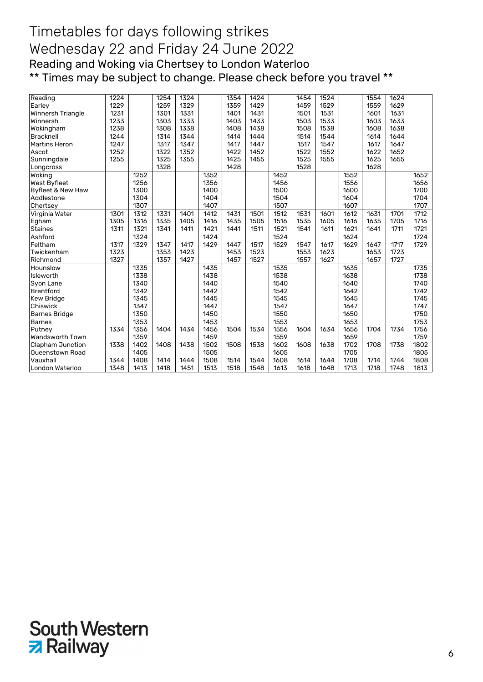| Reading                 | 1224 |      | 1254 | 1324 |      | 1354 | 1424 |      | 1454 | 1524 |      | 1554 | 1624 |      |
|-------------------------|------|------|------|------|------|------|------|------|------|------|------|------|------|------|
| Earley                  | 1229 |      | 1259 | 1329 |      | 1359 | 1429 |      | 1459 | 1529 |      | 1559 | 1629 |      |
| Winnersh Triangle       | 1231 |      | 1301 | 1331 |      | 1401 | 1431 |      | 1501 | 1531 |      | 1601 | 1631 |      |
| Winnersh                | 1233 |      | 1303 | 1333 |      | 1403 | 1433 |      | 1503 | 1533 |      | 1603 | 1633 |      |
| Wokingham               | 1238 |      | 1308 | 1338 |      | 1408 | 1438 |      | 1508 | 1538 |      | 1608 | 1638 |      |
| Bracknell               | 1244 |      | 1314 | 1344 |      | 1414 | 1444 |      | 1514 | 1544 |      | 1614 | 1644 |      |
| <b>Martins Heron</b>    | 1247 |      | 1317 | 1347 |      | 1417 | 1447 |      | 1517 | 1547 |      | 1617 | 1647 |      |
| Ascot                   | 1252 |      | 1322 | 1352 |      | 1422 | 1452 |      | 1522 | 1552 |      | 1622 | 1652 |      |
| Sunningdale             | 1255 |      | 1325 | 1355 |      | 1425 | 1455 |      | 1525 | 1555 |      | 1625 | 1655 |      |
| Longcross               |      |      | 1328 |      |      | 1428 |      |      | 1528 |      |      | 1628 |      |      |
| Woking                  |      | 1252 |      |      | 1352 |      |      | 1452 |      |      | 1552 |      |      | 1652 |
| West Byfleet            |      | 1256 |      |      | 1356 |      |      | 1456 |      |      | 1556 |      |      | 1656 |
| Byfleet & New Haw       |      | 1300 |      |      | 1400 |      |      | 1500 |      |      | 1600 |      |      | 1700 |
| Addlestone              |      | 1304 |      |      | 1404 |      |      | 1504 |      |      | 1604 |      |      | 1704 |
| Chertsey                |      | 1307 |      |      | 1407 |      |      | 1507 |      |      | 1607 |      |      | 1707 |
| Virginia Water          | 1301 | 1312 | 1331 | 1401 | 1412 | 1431 | 1501 | 1512 | 1531 | 1601 | 1612 | 1631 | 1701 | 1712 |
| Egham                   | 1305 | 1316 | 1335 | 1405 | 1416 | 1435 | 1505 | 1516 | 1535 | 1605 | 1616 | 1635 | 1705 | 1716 |
| <b>Staines</b>          | 1311 | 1321 | 1341 | 1411 | 1421 | 1441 | 1511 | 1521 | 1541 | 1611 | 1621 | 1641 | 1711 | 1721 |
| Ashford                 |      | 1324 |      |      | 1424 |      |      | 1524 |      |      | 1624 |      |      | 1724 |
| Feltham                 | 1317 | 1329 | 1347 | 1417 | 1429 | 1447 | 1517 | 1529 | 1547 | 1617 | 1629 | 1647 | 1717 | 1729 |
| Twickenham              | 1323 |      | 1353 | 1423 |      | 1453 | 1523 |      | 1553 | 1623 |      | 1653 | 1723 |      |
| Richmond                | 1327 |      | 1357 | 1427 |      | 1457 | 1527 |      | 1557 | 1627 |      | 1657 | 1727 |      |
| Hounslow                |      | 1335 |      |      | 1435 |      |      | 1535 |      |      | 1635 |      |      | 1735 |
| Isleworth               |      | 1338 |      |      | 1438 |      |      | 1538 |      |      | 1638 |      |      | 1738 |
| Syon Lane               |      | 1340 |      |      | 1440 |      |      | 1540 |      |      | 1640 |      |      | 1740 |
| <b>Brentford</b>        |      | 1342 |      |      | 1442 |      |      | 1542 |      |      | 1642 |      |      | 1742 |
| Kew Bridge              |      | 1345 |      |      | 1445 |      |      | 1545 |      |      | 1645 |      |      | 1745 |
| Chiswick                |      | 1347 |      |      | 1447 |      |      | 1547 |      |      | 1647 |      |      | 1747 |
| <b>Barnes Bridge</b>    |      | 1350 |      |      | 1450 |      |      | 1550 |      |      | 1650 |      |      | 1750 |
| <b>Barnes</b>           |      | 1353 |      |      | 1453 |      |      | 1553 |      |      | 1653 |      |      | 1753 |
| Putney                  | 1334 | 1356 | 1404 | 1434 | 1456 | 1504 | 1534 | 1556 | 1604 | 1634 | 1656 | 1704 | 1734 | 1756 |
| Wandsworth Town         |      | 1359 |      |      | 1459 |      |      | 1559 |      |      | 1659 |      |      | 1759 |
| <b>Clapham Junction</b> | 1338 | 1402 | 1408 | 1438 | 1502 | 1508 | 1538 | 1602 | 1608 | 1638 | 1702 | 1708 | 1738 | 1802 |
| <b>Queenstown Road</b>  |      | 1405 |      |      | 1505 |      |      | 1605 |      |      | 1705 |      |      | 1805 |
| Vauxhall                | 1344 | 1408 | 1414 | 1444 | 1508 | 1514 | 1544 | 1608 | 1614 | 1644 | 1708 | 1714 | 1744 | 1808 |
| London Waterloo         | 1348 | 1413 | 1418 | 1451 | 1513 | 1518 | 1548 | 1613 | 1618 | 1648 | 1713 | 1718 | 1748 | 1813 |

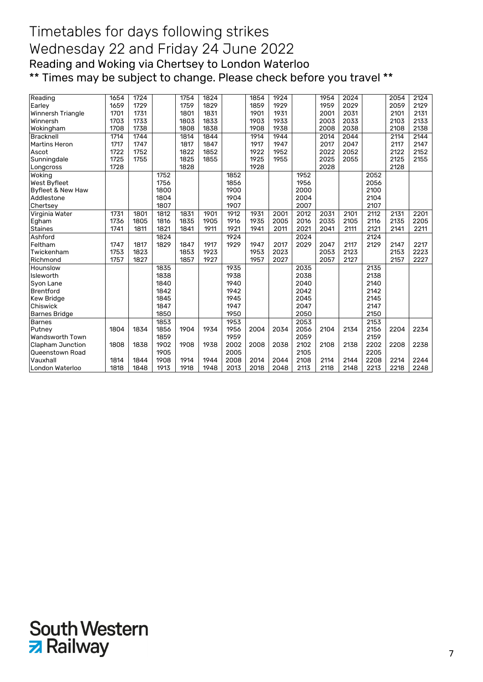| 1724<br>1754<br>1824<br>1924<br>2024<br>1654<br>1854<br>1954<br>2054<br>Reading                                                 | 2124 |
|---------------------------------------------------------------------------------------------------------------------------------|------|
|                                                                                                                                 |      |
| 2029<br>1729<br>1759<br>1829<br>1929<br>1959<br>2059<br>1659<br>1859<br>Earley                                                  | 2129 |
| 2031<br>1701<br>1731<br>1801<br>1831<br>1931<br>2001<br>2101<br>Winnersh Triangle<br>1901                                       | 2131 |
| 2033<br>1733<br>1803<br>1833<br>1933<br>2003<br>2103<br>Winnersh<br>1703<br>1903                                                | 2133 |
| 2038<br>1708<br>1738<br>1808<br>1838<br>1908<br>1938<br>2008<br>2108<br>Wokingham                                               | 2138 |
| 2044<br>1744<br>1844<br>1944<br>1714<br>1814<br>1914<br>2014<br>2114<br><b>Bracknell</b>                                        | 2144 |
| 2047<br>Martins Heron<br>1717<br>1747<br>1847<br>1947<br>2017<br>1817<br>1917<br>2117                                           | 2147 |
| 1852<br>1952<br>2022<br>2052<br>2122<br>1722<br>1752<br>1822<br>1922<br>Ascot                                                   | 2152 |
| 1725<br>1825<br>1855<br>1925<br>2025<br>2055<br>2125<br>1755<br>1955<br>Sunningdale                                             | 2155 |
| 1728<br>1828<br>1928<br>2028<br>2128<br>Longcross                                                                               |      |
| 1752<br>1852<br>1952<br>2052<br>Woking                                                                                          |      |
| West Byfleet<br>1756<br>1856<br>1956<br>2056                                                                                    |      |
| 1800<br>1900<br>2000<br>2100<br>Byfleet & New Haw                                                                               |      |
| 1804<br>1904<br>2004<br>2104<br>Addlestone                                                                                      |      |
| 1807<br>1907<br>2007<br>2107<br>Chertsey                                                                                        |      |
| 1912<br>1731<br>1801<br>1812<br>1831<br>1901<br>1931<br>2001<br>2012<br>2031<br>2101<br>2112<br>2131<br>Virginia Water          | 2201 |
| 1816<br>2016<br>2035<br>Egham<br>1736<br>1805<br>1835<br>1905<br>1916<br>1935<br>2005<br>2105<br>2116<br>2135                   | 2205 |
| 1821<br>1921<br>2021<br>2041<br>2121<br><b>Staines</b><br>1741<br>1811<br>1841<br>1911<br>1941<br>2011<br>2111<br>2141          | 2211 |
| Ashford<br>1824<br>1924<br>2024<br>2124                                                                                         |      |
| 1829<br>1929<br>2017<br>2029<br>2129<br>Feltham<br>1747<br>1817<br>1847<br>1917<br>1947<br>2047<br>2117<br>2147                 | 2217 |
| 1923<br>1753<br>1823<br>1853<br>1953<br>2023<br>2053<br>2123<br>2153<br>Twickenham                                              | 2223 |
| 1757<br>1827<br>1857<br>1927<br>1957<br>2027<br>2057<br>2127<br>2157<br>Richmond                                                | 2227 |
| 2035<br>1835<br>1935<br>2135<br>Hounslow                                                                                        |      |
| 1838<br>1938<br>2038<br>2138<br>Isleworth                                                                                       |      |
| 1840<br>1940<br>2040<br>2140<br>Syon Lane                                                                                       |      |
| 1842<br>1942<br>2042<br>2142<br>Brentford                                                                                       |      |
| 1845<br>1945<br>2045<br>2145<br><b>Kew Bridge</b>                                                                               |      |
| 2047<br>1847<br>1947<br>2147<br>Chiswick                                                                                        |      |
| 1850<br>1950<br>2050<br>2150<br><b>Barnes Bridge</b>                                                                            |      |
| 1853<br>1953<br>2053<br>2153<br><b>Barnes</b>                                                                                   |      |
| 1856<br>1956<br>2056<br>2156<br>Putney<br>1804<br>1834<br>1904<br>1934<br>2004<br>2034<br>2104<br>2134<br>2204                  | 2234 |
| 1859<br>1959<br>2059<br>2159<br>Wandsworth Town                                                                                 |      |
| 1902<br>2102<br>1838<br>1908<br>2002<br>2008<br>2038<br>2108<br>2138<br>2202<br><b>Clapham Junction</b><br>1808<br>1938<br>2208 | 2238 |
| 1905<br>2005<br>2105<br>2205<br>Queenstown Road                                                                                 |      |
| Vauxhall<br>1844<br>1908<br>2008<br>2044<br>2108<br>2208<br>1914<br>1944<br>2014<br>2144<br>2214<br>1814<br>2114                | 2244 |
| 1913<br>1848<br>1918<br>1948<br>2013<br>2018<br>2048<br>2113<br>2118<br>2148<br>2213<br>2218<br>London Waterloo<br>1818         | 2248 |